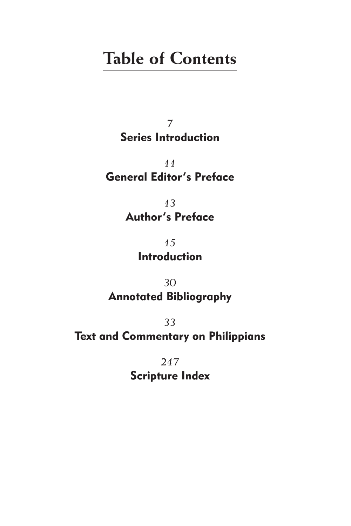## **Table of Contents**

*7*

## Series Introduction

*11* General Editor's Preface

> *13* Author's Preface

> > *15* Introduction

*30* Annotated Bibliography

*33* Text and Commentary on Philippians

> *247* Scripture Index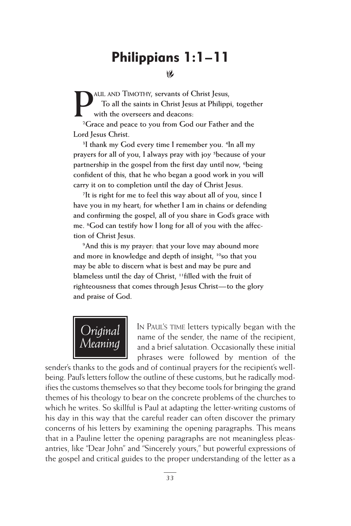## Philippians 1:1–11

## !

**P**<br> **P**<br>
To all the saints in Christ Jesus at Philipp<br>
with the overseers and deacons: **To all the saints in Christ Jesus at Philippi, together with the overseers and deacons:**

**2Grace and peace to you from God our Father and the Lord Jesus Christ.**

**3I thank my God every time I remember you. 4In all my prayers for all of you, I always pray with joy 5because of your partnership in the gospel from the first day until now, 6being confident of this, that he who began a good work in you will carry it on to completion until the day of Christ Jesus.**

**7It is right for me to feel this way about all of you, since I have you in my heart; for whether I am in chains or defending and confirming the gospel, all of you share in God's grace with me. 8God can testify how I long for all of you with the affection of Christ Jesus.**

**9And this is my prayer: that your love may abound more and more in knowledge and depth of insight, 10so that you may be able to discern what is best and may be pure and blameless until the day of Christ, 11filled with the fruit of righteousness that comes through Jesus Christ—to the glory and praise of God.**



IN PAUL'S TIME letters typically began with the name of the sender, the name of the recipient, and a brief salutation. Occasionally these initial phrases were followed by mention of the

sender's thanks to the gods and of continual prayers for the recipient's wellbeing. Paul's letters follow the outline of these customs, but he radically modifies the customs themselves so that they become tools for bringing the grand themes of his theology to bear on the concrete problems of the churches to which he writes. So skillful is Paul at adapting the letter-writing customs of his day in this way that the careful reader can often discover the primary concerns of his letters by examining the opening paragraphs. This means that in a Pauline letter the opening paragraphs are not meaningless pleasantries, like "Dear John" and "Sincerely yours," but powerful expressions of the gospel and critical guides to the proper understanding of the letter as a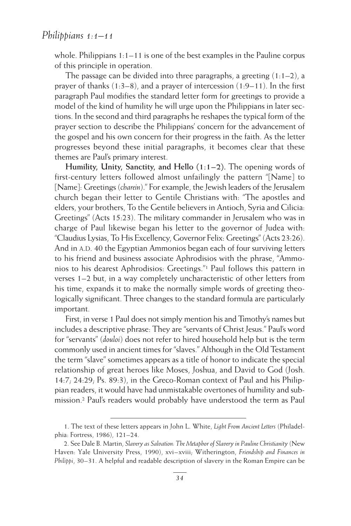whole. Philippians 1:1–11 is one of the best examples in the Pauline corpus of this principle in operation.

The passage can be divided into three paragraphs, a greeting  $(1:1-2)$ , a prayer of thanks (1:3–8), and a prayer of intercession (1:9–11). In the first paragraph Paul modifies the standard letter form for greetings to provide a model of the kind of humility he will urge upon the Philippians in later sections. In the second and third paragraphs he reshapes the typical form of the prayer section to describe the Philippians' concern for the advancement of the gospel and his own concern for their progress in the faith. As the letter progresses beyond these initial paragraphs, it becomes clear that these themes are Paul's primary interest.

**Humility, Unity, Sanctity, and Hello (1:1–2).** The opening words of first-century letters followed almost unfailingly the pattern "[Name] to [Name]: Greetings (*charein*)." For example, the Jewish leaders of the Jerusalem church began their letter to Gentile Christians with: "The apostles and elders, your brothers, To the Gentile believers in Antioch, Syria and Cilicia: Greetings" (Acts 15:23). The military commander in Jerusalem who was in charge of Paul likewise began his letter to the governor of Judea with: "Claudius Lysias, To His Excellency, Governor Felix: Greetings" (Acts 23:26). And in A.D. 40 the Egyptian Ammonios began each of four surviving letters to his friend and business associate Aphrodisios with the phrase, "Ammonios to his dearest Aphrodisios: Greetings."1 Paul follows this pattern in verses 1–2 but, in a way completely uncharacteristic of other letters from his time, expands it to make the normally simple words of greeting theologically significant. Three changes to the standard formula are particularly important.

First, in verse 1 Paul does not simply mention his and Timothy's names but includes a descriptive phrase: They are "servants of Christ Jesus." Paul's word for "servants" (*douloi*) does not refer to hired household help but is the term commonly used in ancient times for "slaves." Although in the Old Testament the term "slave" sometimes appears as a title of honor to indicate the special relationship of great heroes like Moses, Joshua, and David to God (Josh. 14:7; 24:29; Ps. 89:3), in the Greco-Roman context of Paul and his Philippian readers, it would have had unmistakable overtones of humility and submission.2 Paul's readers would probably have understood the term as Paul

<sup>1.</sup> The text of these letters appears in John L. White, *Light From Ancient Letters* (Philadelphia: Fortress, 1986), 121–24.

<sup>2.</sup> See Dale B. Martin, *Slavery as Salvation: The Metaphorof Slavery in Pauline Christianity* (New Haven: Yale University Press, 1990), xvi–xviii; Witherington, *Friendship and Finances in Philippi*, 30–31. A helpful and readable description of slavery in the Roman Empire can be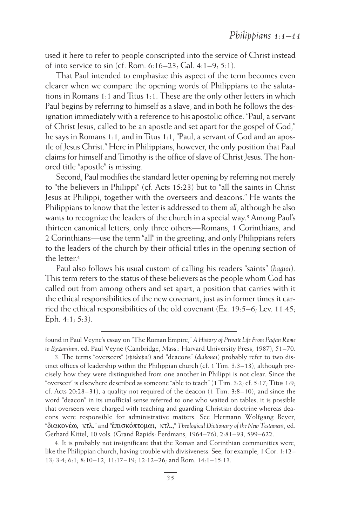used it here to refer to people conscripted into the service of Christ instead of into service to sin (cf. Rom. 6:16–23; Gal. 4:1–9; 5:1).

That Paul intended to emphasize this aspect of the term becomes even clearer when we compare the opening words of Philippians to the salutations in Romans 1:1 and Titus 1:1. These are the only other letters in which Paul begins by referring to himself as a slave, and in both he follows the designation immediately with a reference to his apostolic office. "Paul, a servant of Christ Jesus, called to be an apostle and set apart for the gospel of God," he says in Romans 1:1, and in Titus 1:1, "Paul, a servant of God and an apostle of Jesus Christ." Here in Philippians, however, the only position that Paul claims for himself and Timothy is the office of slave of Christ Jesus. The honored title "apostle" is missing.

Second, Paul modifies the standard letter opening by referring not merely to "the believers in Philippi" (cf. Acts 15:23) but to "all the saints in Christ Jesus at Philippi, together with the overseers and deacons." He wants the Philippians to know that the letter is addressed to them *all*, although he also wants to recognize the leaders of the church in a special way. <sup>3</sup> Among Paul's thirteen canonical letters, only three others—Romans, 1 Corinthians, and 2 Corinthians—use the term "all" in the greeting, and only Philippians refers to the leaders of the church by their official titles in the opening section of the letter. 4

Paul also follows his usual custom of calling his readers "saints" (*hagioi*). This term refers to the status of these believers as the people whom God has called out from among others and set apart, a position that carries with it the ethical responsibilities of the new covenant, just as in former times it carried the ethical responsibilities of the old covenant (Ex. 19:5–6; Lev. 11:45; Eph.  $4:1; 5:3$ ).

found in Paul Veyne's essay on "The Roman Empire," *A History of Private Life From Pagan Rome to Byzantium*, ed. Paul Veyne (Cambridge, Mass.: Harvard University Press, 1987), 51–70.

<sup>3.</sup> The terms "overseers" (*episkopoi*) and "deacons" (*diakonoi*) probably refer to two distinct offices of leadership within the Philippian church (cf. 1 Tim. 3:3–13), although precisely how they were distinguished from one another in Philippi is not clear. Since the "overseer" is elsewhere described as someone "able to teach" (1 Tim. 3:2; cf. 5:17; Titus 1:9; cf. Acts 20:28–31), a quality not required of the deacon (1 Tim. 3:8–10), and since the word "deacon" in its unofficial sense referred to one who waited on tables, it is possible that overseers were charged with teaching and guarding Christian doctrine whereas deacons were responsible for administrative matters. See Hermann Wolfgang Beyer, "διακονέω, κτλ." and "επισκόπτομαι, κτλ.," *Theological Dictionary of the New Testament*, ed. Gerhard Kittel, 10 vols. (Grand Rapids: Eerdmans, 1964–76), 2:81–93, 599–622.

<sup>4.</sup> It is probably not insignificant that the Roman and Corinthian communities were, like the Philippian church, having trouble with divisiveness. See, for example, 1 Cor. 1:12– 13; 3:4; 6:1; 8:10–12; 11:17–19; 12:12–26; and Rom. 14:1–15:13.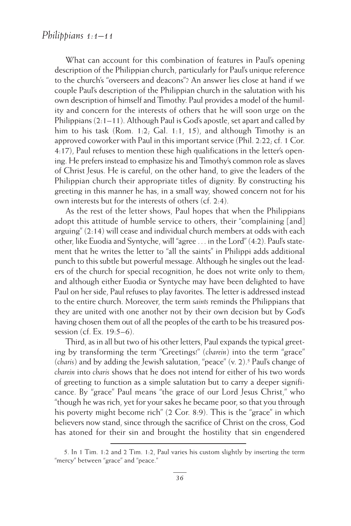What can account for this combination of features in Paul's opening description of the Philippian church, particularly for Paul's unique reference to the church's "overseers and deacons"? An answer lies close at hand if we couple Paul's description of the Philippian church in the salutation with his own description of himself and Timothy. Paul provides a model of the humility and concern for the interests of others that he will soon urge on the Philippians (2:1–11). Although Paul is God's apostle, set apart and called by him to his task (Rom. 1:2; Gal. 1:1, 15), and although Timothy is an approved coworker with Paul in this important service (Phil. 2:22; cf. 1 Cor. 4:17), Paul refuses to mention these high qualifications in the letter's opening. He prefers instead to emphasize his and Timothy's common role as slaves of Christ Jesus. He is careful, on the other hand, to give the leaders of the Philippian church their appropriate titles of dignity. By constructing his greeting in this manner he has, in a small way, showed concern not for his own interests but for the interests of others (cf. 2:4).

As the rest of the letter shows, Paul hopes that when the Philippians adopt this attitude of humble service to others, their "complaining [and] arguing" (2:14) will cease and individual church members at odds with each other, like Euodia and Syntyche, will "agree ... in the Lord" (4:2). Paul's statement that he writes the letter to "all the saints" in Philippi adds additional punch to this subtle but powerful message. Although he singles out the leaders of the church for special recognition, he does not write only to them; and although either Euodia or Syntyche may have been delighted to have Paul on her side, Paul refuses to play favorites. The letter is addressed instead to the entire church. Moreover, the term *saints* reminds the Philippians that they are united with one another not by their own decision but by God's having chosen them out of all the peoples of the earth to be his treasured possession (cf. Ex. 19:5–6).

Third, as in all but two of his other letters, Paul expands the typical greeting by transforming the term "Greetings!" (*charein*) into the term "grace" (*charis*) and by adding the Jewish salutation, "peace" (v. 2). <sup>5</sup> Paul's change of *charein* into *charis* shows that he does not intend for either of his two words of greeting to function as a simple salutation but to carry a deeper significance. By "grace" Paul means "the grace of our Lord Jesus Christ," who "though he was rich, yet for your sakes he became poor, so that you through his poverty might become rich" (2 Cor. 8:9). This is the "grace" in which believers now stand, since through the sacrifice of Christ on the cross, God has atoned for their sin and brought the hostility that sin engendered

<sup>5.</sup> In 1 Tim. 1:2 and 2 Tim. 1:2, Paul varies his custom slightly by inserting the term "mercy" between "grace" and "peace."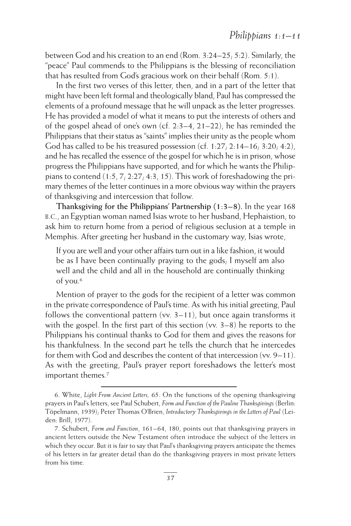between God and his creation to an end (Rom. 3:24–25; 5:2). Similarly, the "peace" Paul commends to the Philippians is the blessing of reconciliation that has resulted from God's gracious work on their behalf (Rom. 5:1).

In the first two verses of this letter, then, and in a part of the letter that might have been left formal and theologically bland, Paul has compressed the elements of a profound message that he will unpack as the letter progresses. He has provided a model of what it means to put the interests of others and of the gospel ahead of one's own (cf. 2:3–4, 21–22), he has reminded the Philippians that their status as "saints" implies their unity as the people whom God has called to be his treasured possession (cf. 1:27; 2:14–16; 3:20; 4:2), and he has recalled the essence of the gospel for which he is in prison, whose progress the Philippians have supported, and for which he wants the Philippians to contend (1:5, 7; 2:27; 4:3, 15). This work of foreshadowing the primary themes of the letter continues in a more obvious way within the prayers of thanksgiving and intercession that follow.

**Thanksgiving for the Philippians' Partnership (1:3–8).** In the year 168 B.C., an Egyptian woman named Isias wrote to her husband, Hephaistion, to ask him to return home from a period of religious seclusion at a temple in Memphis. After greeting her husband in the customary way, Isias wrote,

If you are well and your other affairs turn out in a like fashion, it would be as I have been continually praying to the gods; I myself am also well and the child and all in the household are continually thinking of you. 6

Mention of prayer to the gods for the recipient of a letter was common in the private correspondence of Paul's time. As with his initial greeting, Paul follows the conventional pattern (vv. 3–11), but once again transforms it with the gospel. In the first part of this section (vv.  $3-8$ ) he reports to the Philippians his continual thanks to God for them and gives the reasons for his thankfulness. In the second part he tells the church that he intercedes for them with God and describes the content of that intercession (vv. 9–11). As with the greeting, Paul's prayer report foreshadows the letter's most important themes. 7

<sup>6.</sup> White, *Light From Ancient Letters,* 65. On the functions of the opening thanksgiving prayers in Paul's letters, see Paul Schubert, *Form and Function of the Pauline Thanksgivings* (Berlin: Töpelmann, 1939); Peter Thomas O'Brien, *Introductory Thanksgivings in the Letters of Paul* (Leiden: Brill, 1977).

<sup>7.</sup> Schubert, *Form and Function*, 161–64, 180, points out that thanksgiving prayers in ancient letters outside the New Testament often introduce the subject of the letters in which they occur. But it is fair to say that Paul's thanksgiving prayers anticipate the themes of his letters in far greater detail than do the thanksgiving prayers in most private letters from his time.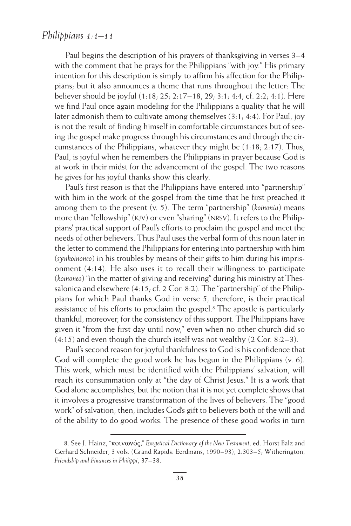Paul begins the description of his prayers of thanksgiving in verses 3–4 with the comment that he prays for the Philippians "with joy." His primary intention for this description is simply to affirm his affection for the Philippians; but it also announces a theme that runs throughout the letter: The believer should be joyful (1:18; 25; 2:17–18, 29; 3:1; 4:4; cf. 2:2; 4:1). Here we find Paul once again modeling for the Philippians a quality that he will later admonish them to cultivate among themselves (3:1; 4:4). For Paul, joy is not the result of finding himself in comfortable circumstances but of seeing the gospel make progress through his circumstances and through the circumstances of the Philippians, whatever they might be (1:18; 2:17). Thus, Paul, is joyful when he remembers the Philippians in prayer because God is at work in their midst for the advancement of the gospel. The two reasons he gives for his joyful thanks show this clearly.

Paul's first reason is that the Philippians have entered into "partnership" with him in the work of the gospel from the time that he first preached it among them to the present (v. 5). The term "partnership" (*koinonia*) means more than "fellowship" (KJV) or even "sharing" (NRSV). It refers to the Philippians' practical support of Paul's efforts to proclaim the gospel and meet the needs of other believers. Thus Paul uses the verbal form of this noun later in the letter to commend the Philippians for entering into partnership with him (*synkoinoneo*) in his troubles by means of their gifts to him during his imprisonment (4:14). He also uses it to recall their willingness to participate (*koinoneo*) "in the matter of giving and receiving" during his ministry at Thessalonica and elsewhere (4:15; cf. 2 Cor. 8:2). The "partnership" of the Philippians for which Paul thanks God in verse 5, therefore, is their practical assistance of his efforts to proclaim the gospel. <sup>8</sup> The apostle is particularly thankful, moreover, for the consistency of this support. The Philippians have given it "from the first day until now," even when no other church did so (4:15) and even though the church itself was not wealthy (2 Cor. 8:2–3).

Paul's second reason for joyful thankfulness to God is his confidence that God will complete the good work he has begun in the Philippians (v. 6). This work, which must be identified with the Philippians' salvation, will reach its consummation only at "the day of Christ Jesus." It is a work that God alone accomplishes, but the notion that it is not yet complete shows that it involves a progressive transformation of the lives of believers. The "good work" of salvation, then, includes God's gift to believers both of the will and of the ability to do good works. The presence of these good works in turn

<sup>8.</sup> See J. Hainz, " $\kappa$ 01VWVÓC," *Exegetical Dictionary of the New Testament*, ed. Horst Balz and Gerhard Schneider, 3 vols. (Grand Rapids: Eerdmans, 1990–93), 2:303–5; Witherington, *Friendship and Finances in Philippi*, 37–38.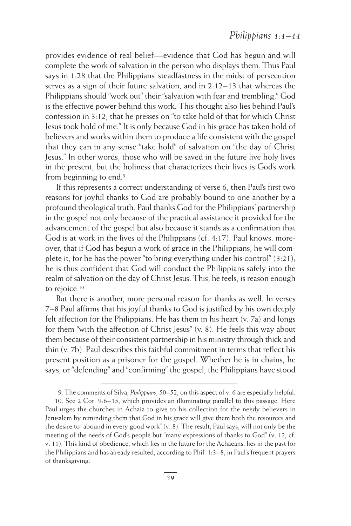provides evidence of real belief—evidence that God has begun and will complete the work of salvation in the person who displays them. Thus Paul says in 1:28 that the Philippians' steadfastness in the midst of persecution serves as a sign of their future salvation, and in 2:12–13 that whereas the Philippians should "work out" their "salvation with fear and trembling," God is the effective power behind this work. This thought also lies behind Paul's confession in 3:12, that he presses on "to take hold of that for which Christ Jesus took hold of me." It is only because God in his grace has taken hold of believers and works within them to produce a life consistent with the gospel that they can in any sense "take hold" of salvation on "the day of Christ Jesus." In other words, those who will be saved in the future live holy lives in the present, but the holiness that characterizes their lives is God's work from beginning to end.<sup>9</sup>

If this represents a correct understanding of verse 6, then Paul's first two reasons for joyful thanks to God are probably bound to one another by a profound theological truth. Paul thanks God for the Philippians' partnership in the gospel not only because of the practical assistance it provided for the advancement of the gospel but also because it stands as a confirmation that God is at work in the lives of the Philippians (cf. 4:17). Paul knows, moreover, that if God has begun a work of grace in the Philippians, he will complete it, for he has the power "to bring everything under his control" (3:21); he is thus confident that God will conduct the Philippians safely into the realm of salvation on the day of Christ Jesus. This, he feels, is reason enough to rejoice.<sup>10</sup>

But there is another, more personal reason for thanks as well. In verses 7–8 Paul affirms that his joyful thanks to God is justified by his own deeply felt affection for the Philippians. He has them in his heart (v. 7a) and longs for them "with the affection of Christ Jesus" (v. 8). He feels this way about them because of their consistent partnership in his ministry through thick and thin (v. 7b). Paul describes this faithful commitment in terms that reflect his present position as a prisoner for the gospel. Whether he is in chains, he says, or "defending" and "confirming" the gospel, the Philippians have stood

<sup>9.</sup> The comments of Silva, *Philippians*, 50–52, on this aspect of v. 6 are especially helpful.

<sup>10.</sup> See 2 Cor. 9:6–15, which provides an illuminating parallel to this passage. Here Paul urges the churches in Achaia to give to his collection for the needy believers in Jerusalem by reminding them that God in his grace will give them both the resources and the desire to "abound in every good work" (v. 8). The result, Paul says, will not only be the meeting of the needs of God's people but "many expressions of thanks to God" (v. 12; cf. v. 11). This kind of obedience, which lies in the future for the Achaeans, lies in the past for the Philippians and has already resulted, according to Phil. 1:3–8, in Paul's frequent prayers of thanksgiving.